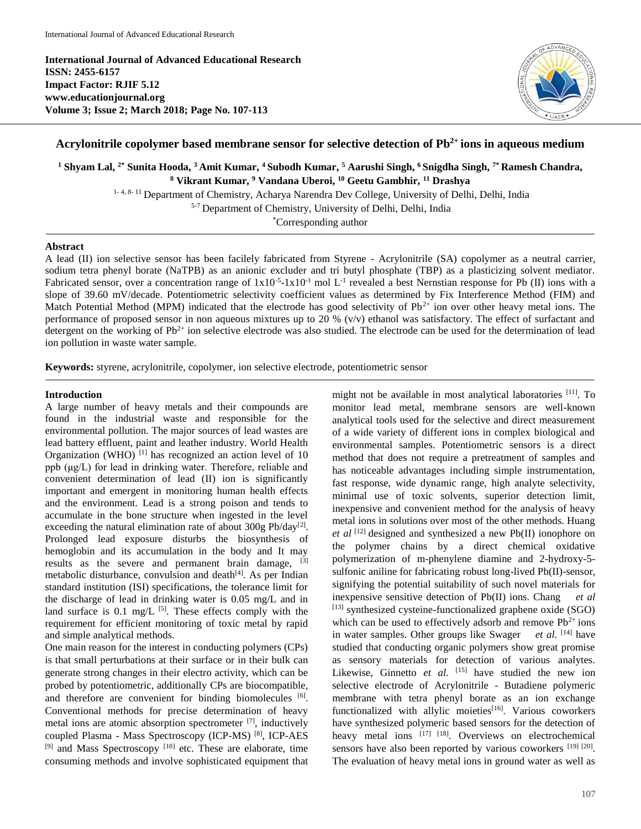**International Journal of Advanced Educational Research ISSN: 2455-6157 Impact Factor: RJIF 5.12 www.educationjournal.org Volume 3; Issue 2; March 2018; Page No. 107-113**



# **Acrylonitrile copolymer based membrane sensor for selective detection of Pb 2+ ions in aqueous medium**

**<sup>1</sup> Shyam Lal, 2\* Sunita Hooda, <sup>3</sup>Amit Kumar, <sup>4</sup>Subodh Kumar, <sup>5</sup> Aarushi Singh, <sup>6</sup>Snigdha Singh, 7\* Ramesh Chandra, <sup>8</sup> Vikrant Kumar, <sup>9</sup> Vandana Uberoi, <sup>10</sup> Geetu Gambhir, <sup>11</sup> Drashya**

<sup>1- 4, 8- 11</sup> Department of Chemistry, Acharya Narendra Dev College, University of Delhi, Delhi, India

5-7 Department of Chemistry, University of Delhi, Delhi, India

\*Corresponding author

## **Abstract**

A lead (II) ion selective sensor has been facilely fabricated from Styrene - Acrylonitrile (SA) copolymer as a neutral carrier, sodium tetra phenyl borate (NaTPB) as an anionic excluder and tri butyl phosphate (TBP) as a plasticizing solvent mediator. Fabricated sensor, over a concentration range of  $1x10^{-5}$ -1x10<sup>-1</sup> mol L<sup>-1</sup> revealed a best Nernstian response for Pb (II) ions with a slope of 39.60 mV/decade. Potentiometric selectivity coefficient values as determined by Fix Interference Method (FIM) and Match Potential Method (MPM) indicated that the electrode has good selectivity of Pb<sup>2+</sup> ion over other heavy metal ions. The performance of proposed sensor in non aqueous mixtures up to 20 % (v/v) ethanol was satisfactory. The effect of surfactant and detergent on the working of  $Pb^{2+}$  ion selective electrode was also studied. The electrode can be used for the determination of lead ion pollution in waste water sample.

**Keywords:** styrene, acrylonitrile, copolymer, ion selective electrode, potentiometric sensor

#### **Introduction**

A large number of heavy metals and their compounds are found in the industrial waste and responsible for the environmental pollution. The major sources of lead wastes are lead battery effluent, paint and leather industry. World Health Organization (WHO) $^{[1]}$  has recognized an action level of 10 ppb (μg/L) for lead in drinking water. Therefore, reliable and convenient determination of lead (II) ion is significantly important and emergent in monitoring human health effects and the environment. Lead is a strong poison and tends to accumulate in the bone structure when ingested in the level exceeding the natural elimination rate of about  $300g$  Pb/day<sup>[2]</sup>. Prolonged lead exposure disturbs the biosynthesis of hemoglobin and its accumulation in the body and It may results as the severe and permanent brain damage, [3] metabolic disturbance, convulsion and death<sup>[4]</sup>. As per Indian standard institution (ISI) specifications, the tolerance limit for the discharge of lead in drinking water is 0.05 mg/L and in land surface is  $0.1 \text{ mg/L}$  <sup>[5]</sup>. These effects comply with the requirement for efficient monitoring of toxic metal by rapid and simple analytical methods.

One main reason for the interest in conducting polymers (CPs) is that small perturbations at their surface or in their bulk can generate strong changes in their electro activity, which can be probed by potentiometric, additionally CPs are biocompatible, and therefore are convenient for binding biomolecules [6]. Conventional methods for precise determination of heavy metal ions are atomic absorption spectrometer  $[7]$ , inductively coupled Plasma - Mass Spectroscopy (ICP-MS) [8], ICP-AES  $[9]$  and Mass Spectroscopy  $[10]$  etc. These are elaborate, time consuming methods and involve sophisticated equipment that

might not be available in most analytical laboratories [11] . To monitor lead metal, membrane sensors are well-known analytical tools used for the selective and direct measurement of a wide variety of different ions in complex biological and environmental samples. Potentiometric sensors is a direct method that does not require a pretreatment of samples and has noticeable advantages including simple instrumentation, fast response, wide dynamic range, high analyte selectivity, minimal use of toxic solvents, superior detection limit, inexpensive and convenient method for the analysis of heavy metal ions in solutions over most of the other methods. Huang *et al* [12] designed and synthesized a new Pb(II) ionophore on the polymer chains by a direct chemical oxidative polymerization of m-phenylene diamine and 2-hydroxy-5 sulfonic aniline for fabricating robust long-lived Pb(II)-sensor, signifying the potential suitability of such novel materials for inexpensive sensitive detection of Pb(II) ions. Chang *et al* [13] synthesized cysteine-functionalized graphene oxide (SGO) which can be used to effectively adsorb and remove  $Pb^{2+}$  ions in water samples. Other groups like Swager *et al.* [14] have studied that conducting organic polymers show great promise as sensory materials for detection of various analytes. Likewise, Ginnetto *et al.* [15] have studied the new ion selective electrode of Acrylonitrile - Butadiene polymeric membrane with tetra phenyl borate as an ion exchange functionalized with allylic moieties<sup>[16]</sup>. Various coworkers have synthesized polymeric based sensors for the detection of heavy metal ions [17] [18]. Overviews on electrochemical sensors have also been reported by various coworkers [19] [20]. The evaluation of heavy metal ions in ground water as well as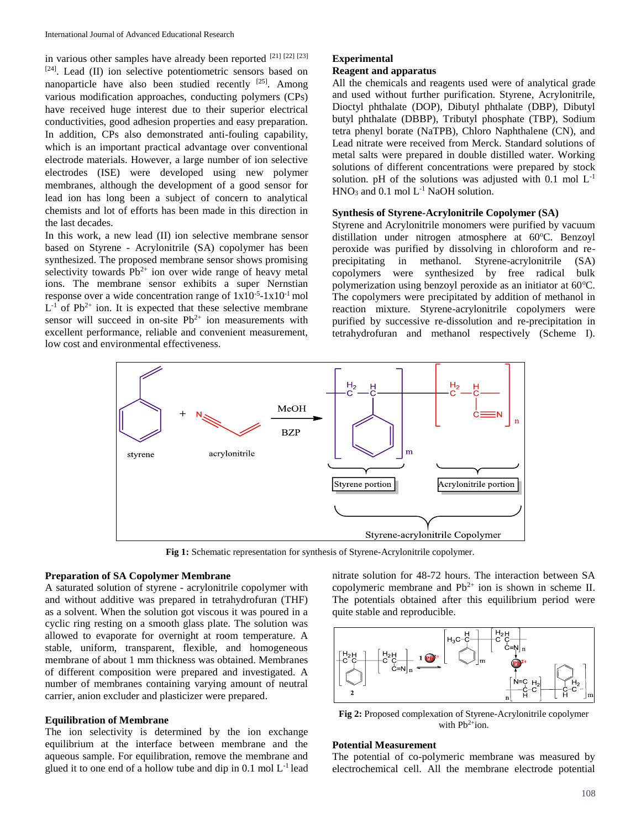in various other samples have already been reported [21] [22] [23]  $[24]$ . Lead (II) ion selective potentiometric sensors based on nanoparticle have also been studied recently  $[25]$ . Among various modification approaches, conducting polymers (CPs) have received huge interest due to their superior electrical conductivities, good adhesion properties and easy preparation. In addition, CPs also demonstrated anti-fouling capability, which is an important practical advantage over conventional electrode materials. However, a large number of ion selective electrodes (ISE) were developed using new polymer membranes, although the development of a good sensor for lead ion has long been a subject of concern to analytical chemists and lot of efforts has been made in this direction in the last decades.

In this work, a new lead (II) ion selective membrane sensor based on Styrene - Acrylonitrile (SA) copolymer has been synthesized. The proposed membrane sensor shows promising selectivity towards  $Pb^{2+}$  ion over wide range of heavy metal ions. The membrane sensor exhibits a super Nernstian response over a wide concentration range of  $1x10^{-5}$ - $1x10^{-1}$  mol  $L^{-1}$  of Pb<sup>2+</sup> ion. It is expected that these selective membrane sensor will succeed in on-site  $Pb^{2+}$  ion measurements with excellent performance, reliable and convenient measurement, low cost and environmental effectiveness.

## **Experimental Reagent and apparatus**

All the chemicals and reagents used were of analytical grade and used without further purification. Styrene, Acrylonitrile, Dioctyl phthalate (DOP), Dibutyl phthalate (DBP), Dibutyl butyl phthalate (DBBP), Tributyl phosphate (TBP), Sodium tetra phenyl borate (NaTPB), Chloro Naphthalene (CN), and Lead nitrate were received from Merck. Standard solutions of metal salts were prepared in double distilled water. Working solutions of different concentrations were prepared by stock solution. pH of the solutions was adjusted with  $0.1$  mol  $L^{-1}$  $HNO<sub>3</sub>$  and 0.1 mol  $L<sup>-1</sup>$  NaOH solution.

## **Synthesis of Styrene-Acrylonitrile Copolymer (SA)**

Styrene and Acrylonitrile monomers were purified by vacuum distillation under nitrogen atmosphere at 60°C. Benzoyl peroxide was purified by dissolving in chloroform and reprecipitating in methanol. Styrene-acrylonitrile (SA) copolymers were synthesized by free radical bulk polymerization using benzoyl peroxide as an initiator at  $60^{\circ}$ C. The copolymers were precipitated by addition of methanol in reaction mixture. Styrene-acrylonitrile copolymers were purified by successive re-dissolution and re-precipitation in tetrahydrofuran and methanol respectively (Scheme I).



**Fig 1:** Schematic representation for synthesis of Styrene-Acrylonitrile copolymer.

## **Preparation of SA Copolymer Membrane**

A saturated solution of styrene - acrylonitrile copolymer with and without additive was prepared in tetrahydrofuran (THF) as a solvent. When the solution got viscous it was poured in a cyclic ring resting on a smooth glass plate. The solution was allowed to evaporate for overnight at room temperature. A stable, uniform, transparent, flexible, and homogeneous membrane of about 1 mm thickness was obtained. Membranes of different composition were prepared and investigated. A number of membranes containing varying amount of neutral carrier, anion excluder and plasticizer were prepared.

## **Equilibration of Membrane**

The ion selectivity is determined by the ion exchange equilibrium at the interface between membrane and the aqueous sample. For equilibration, remove the membrane and glued it to one end of a hollow tube and dip in  $0.1 \text{ mol } L^{-1}$  lead nitrate solution for 48-72 hours. The interaction between SA copolymeric membrane and  $Pb^{2+}$  ion is shown in scheme II. The potentials obtained after this equilibrium period were quite stable and reproducible.



**Fig 2:** Proposed complexation of Styrene-Acrylonitrile copolymer with  $Pb^{2+}$ ion.

## **Potential Measurement**

The potential of co-polymeric membrane was measured by electrochemical cell. All the membrane electrode potential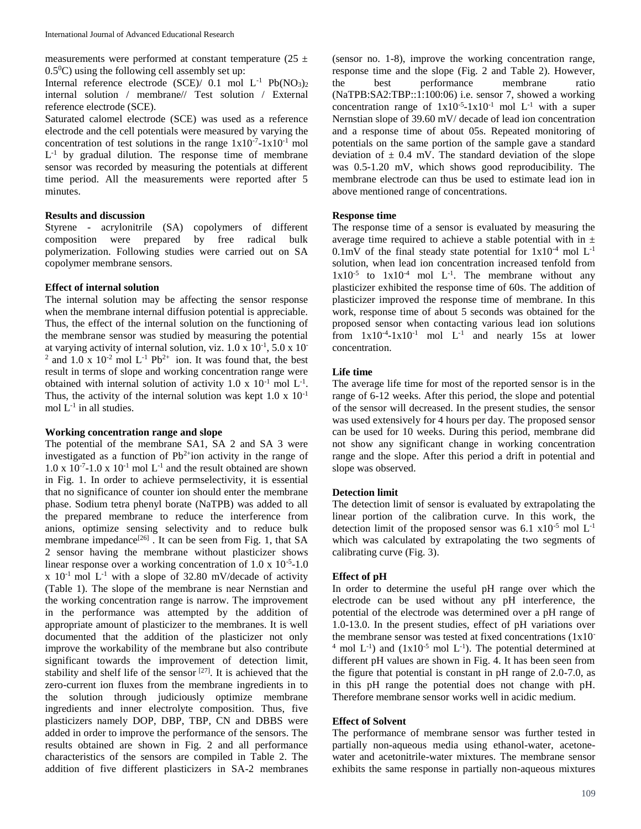measurements were performed at constant temperature ( $25 \pm$  $0.5^{\circ}$ C) using the following cell assembly set up:

Internal reference electrode (SCE)/  $0.1$  mol L<sup>-1</sup> Pb(NO<sub>3</sub>)<sub>2</sub> internal solution / membrane// Test solution / External reference electrode (SCE).

Saturated calomel electrode (SCE) was used as a reference electrode and the cell potentials were measured by varying the concentration of test solutions in the range  $1x10^{-7}$ -1x10<sup>-1</sup> mol  $L<sup>-1</sup>$  by gradual dilution. The response time of membrane sensor was recorded by measuring the potentials at different time period. All the measurements were reported after 5 minutes.

## **Results and discussion**

Styrene - acrylonitrile (SA) copolymers of different composition were prepared by free radical bulk polymerization. Following studies were carried out on SA copolymer membrane sensors.

## **Effect of internal solution**

The internal solution may be affecting the sensor response when the membrane internal diffusion potential is appreciable. Thus, the effect of the internal solution on the functioning of the membrane sensor was studied by measuring the potential at varying activity of internal solution, viz.  $1.0 \times 10^{-1}$ ,  $5.0 \times 10^{-1}$ <sup>2</sup> and 1.0 x 10<sup>-2</sup> mol L<sup>-1</sup> Pb<sup>2+</sup> ion. It was found that, the best result in terms of slope and working concentration range were obtained with internal solution of activity 1.0 x  $10^{-1}$  mol L<sup>-1</sup>. Thus, the activity of the internal solution was kept  $1.0 \times 10^{-1}$ mol  $L^{-1}$  in all studies.

## **Working concentration range and slope**

The potential of the membrane SA1, SA 2 and SA 3 were investigated as a function of  $Pb^{2+}$ ion activity in the range of  $1.0 \times 10^{-7}$ -1.0 x  $10^{-1}$  mol L<sup>-1</sup> and the result obtained are shown in Fig. 1. In order to achieve permselectivity, it is essential that no significance of counter ion should enter the membrane phase. Sodium tetra phenyl borate (NaTPB) was added to all the prepared membrane to reduce the interference from anions, optimize sensing selectivity and to reduce bulk membrane impedance<sup>[26]</sup>. It can be seen from Fig. 1, that SA 2 sensor having the membrane without plasticizer shows linear response over a working concentration of  $1.0 \times 10^{-5}$ -1.0  $x$  10<sup>-1</sup> mol L<sup>-1</sup> with a slope of 32.80 mV/decade of activity (Table 1). The slope of the membrane is near Nernstian and the working concentration range is narrow. The improvement in the performance was attempted by the addition of appropriate amount of plasticizer to the membranes. It is well documented that the addition of the plasticizer not only improve the workability of the membrane but also contribute significant towards the improvement of detection limit, stability and shelf life of the sensor  $[27]$ . It is achieved that the zero-current ion fluxes from the membrane ingredients in to the solution through judiciously optimize membrane ingredients and inner electrolyte composition. Thus, five plasticizers namely DOP, DBP, TBP, CN and DBBS were added in order to improve the performance of the sensors. The results obtained are shown in Fig. 2 and all performance characteristics of the sensors are compiled in Table 2. The addition of five different plasticizers in SA-2 membranes

(sensor no. 1-8), improve the working concentration range, response time and the slope (Fig. 2 and Table 2). However, the best performance membrane ratio (NaTPB:SA2:TBP::1:100:06) i.e. sensor 7, showed a working concentration range of  $1x10^{-5}$ -1x10<sup>-1</sup> mol L<sup>-1</sup> with a super Nernstian slope of 39.60 mV/ decade of lead ion concentration and a response time of about 05s. Repeated monitoring of potentials on the same portion of the sample gave a standard deviation of  $\pm$  0.4 mV. The standard deviation of the slope was 0.5-1.20 mV, which shows good reproducibility. The membrane electrode can thus be used to estimate lead ion in above mentioned range of concentrations.

## **Response time**

The response time of a sensor is evaluated by measuring the average time required to achieve a stable potential with in  $\pm$  $0.1\text{mV}$  of the final steady state potential for  $1x10^{-4}$  mol  $L^{-1}$ solution, when lead ion concentration increased tenfold from  $1x10^{-5}$  to  $1x10^{-4}$  mol L<sup>-1</sup>. The membrane without any plasticizer exhibited the response time of 60s. The addition of plasticizer improved the response time of membrane. In this work, response time of about 5 seconds was obtained for the proposed sensor when contacting various lead ion solutions from  $1x10^{-4}$ - $1x10^{-1}$  mol  $L^{-1}$  and nearly 15s at lower concentration.

#### **Life time**

The average life time for most of the reported sensor is in the range of 6-12 weeks. After this period, the slope and potential of the sensor will decreased. In the present studies, the sensor was used extensively for 4 hours per day. The proposed sensor can be used for 10 weeks. During this period, membrane did not show any significant change in working concentration range and the slope. After this period a drift in potential and slope was observed.

## **Detection limit**

The detection limit of sensor is evaluated by extrapolating the linear portion of the calibration curve. In this work, the detection limit of the proposed sensor was 6.1  $\times 10^{-5}$  mol L<sup>-1</sup> which was calculated by extrapolating the two segments of calibrating curve (Fig. 3).

## **Effect of pH**

In order to determine the useful pH range over which the electrode can be used without any pH interference, the potential of the electrode was determined over a pH range of 1.0-13.0. In the present studies, effect of pH variations over the membrane sensor was tested at fixed concentrations  $(1x10^{-1})$ <sup>4</sup> mol  $L^{-1}$ ) and  $(1x10^{-5} \text{ mol } L^{-1})$ . The potential determined at different pH values are shown in Fig. 4. It has been seen from the figure that potential is constant in pH range of 2.0-7.0, as in this pH range the potential does not change with pH. Therefore membrane sensor works well in acidic medium.

## **Effect of Solvent**

The performance of membrane sensor was further tested in partially non-aqueous media using ethanol-water, acetonewater and acetonitrile-water mixtures. The membrane sensor exhibits the same response in partially non-aqueous mixtures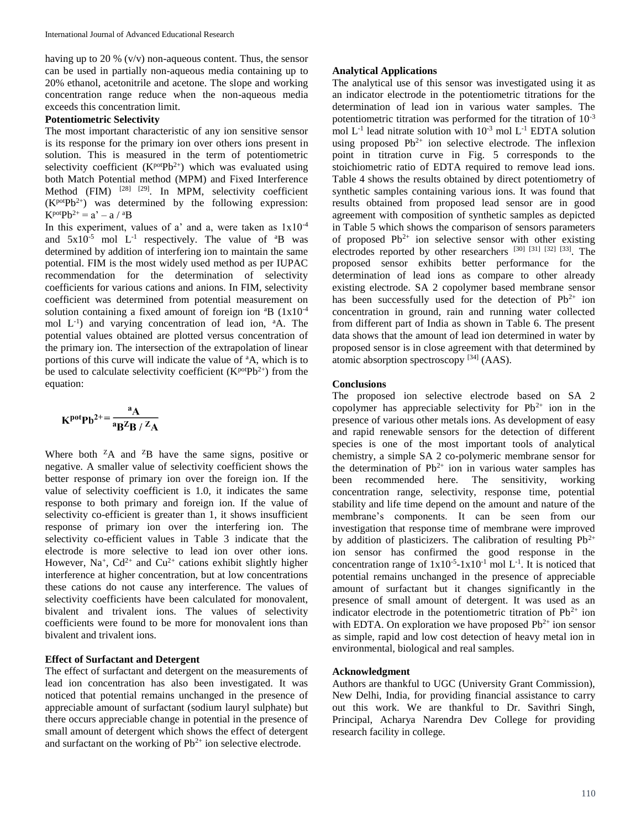having up to 20 %  $(v/v)$  non-aqueous content. Thus, the sensor can be used in partially non-aqueous media containing up to 20% ethanol, acetonitrile and acetone. The slope and working concentration range reduce when the non-aqueous media exceeds this concentration limit.

## **Potentiometric Selectivity**

The most important characteristic of any ion sensitive sensor is its response for the primary ion over others ions present in solution. This is measured in the term of potentiometric selectivity coefficient  $(K<sup>pot</sup>Pb<sup>2+</sup>)$  which was evaluated using both Match Potential method (MPM) and Fixed Interference Method (FIM) <sup>[28] [29]</sup>. In MPM, selectivity coefficient  $(K<sup>pot</sup>Pb<sup>2+</sup>)$  was determined by the following expression:  $K^{pot}Pb^{2+} = a' - a / {}^aB$ 

In this experiment, values of a' and a, were taken as  $1x10^{-4}$ and  $5x10^{-5}$  mol L<sup>-1</sup> respectively. The value of  ${}^{a}B$  was determined by addition of interfering ion to maintain the same potential. FIM is the most widely used method as per IUPAC recommendation for the determination of selectivity coefficients for various cations and anions. In FIM, selectivity coefficient was determined from potential measurement on solution containing a fixed amount of foreign ion  ${}^{4}B$  (1x10<sup>-4</sup>) mol L-1 ) and varying concentration of lead ion, <sup>a</sup>A. The potential values obtained are plotted versus concentration of the primary ion. The intersection of the extrapolation of linear portions of this curve will indicate the value of <sup>a</sup>A, which is to be used to calculate selectivity coefficient ( $K^{pot}Pb^{2+}$ ) from the equation:

$$
K^{\text{pot}}Pb^{2+} = \frac{^{a}A}{^{a}B^{Z}B / ^{Z}A}
$$

Where both  ${}^{Z}A$  and  ${}^{Z}B$  have the same signs, positive or negative. A smaller value of selectivity coefficient shows the better response of primary ion over the foreign ion. If the value of selectivity coefficient is 1.0, it indicates the same response to both primary and foreign ion. If the value of selectivity co-efficient is greater than 1, it shows insufficient response of primary ion over the interfering ion. The selectivity co-efficient values in Table 3 indicate that the electrode is more selective to lead ion over other ions. However, Na<sup>+</sup>, Cd<sup>2+</sup> and Cu<sup>2+</sup> cations exhibit slightly higher interference at higher concentration, but at low concentrations these cations do not cause any interference. The values of selectivity coefficients have been calculated for monovalent, bivalent and trivalent ions. The values of selectivity coefficients were found to be more for monovalent ions than bivalent and trivalent ions.

## **Effect of Surfactant and Detergent**

The effect of surfactant and detergent on the measurements of lead ion concentration has also been investigated. It was noticed that potential remains unchanged in the presence of appreciable amount of surfactant (sodium lauryl sulphate) but there occurs appreciable change in potential in the presence of small amount of detergent which shows the effect of detergent and surfactant on the working of  $Pb^{2+}$  ion selective electrode.

## **Analytical Applications**

The analytical use of this sensor was investigated using it as an indicator electrode in the potentiometric titrations for the determination of lead ion in various water samples. The potentiometric titration was performed for the titration of 10-3 mol  $L^{-1}$  lead nitrate solution with  $10^{-3}$  mol  $L^{-1}$  EDTA solution using proposed  $Pb^{2+}$  ion selective electrode. The inflexion point in titration curve in Fig. 5 corresponds to the stoichiometric ratio of EDTA required to remove lead ions. Table 4 shows the results obtained by direct potentiometry of synthetic samples containing various ions. It was found that results obtained from proposed lead sensor are in good agreement with composition of synthetic samples as depicted in Table 5 which shows the comparison of sensors parameters of proposed  $Pb^{2+}$  ion selective sensor with other existing electrodes reported by other researchers [30] [31] [32] [33]. The proposed sensor exhibits better performance for the determination of lead ions as compare to other already existing electrode. SA 2 copolymer based membrane sensor has been successfully used for the detection of  $Pb^{2+}$  ion concentration in ground, rain and running water collected from different part of India as shown in Table 6. The present data shows that the amount of lead ion determined in water by proposed sensor is in close agreement with that determined by atomic absorption spectroscopy [34] (AAS).

#### **Conclusions**

The proposed ion selective electrode based on SA 2 copolymer has appreciable selectivity for  $Pb^{2+}$  ion in the presence of various other metals ions. As development of easy and rapid renewable sensors for the detection of different species is one of the most important tools of analytical chemistry, a simple SA 2 co-polymeric membrane sensor for the determination of  $Pb^{2+}$  ion in various water samples has been recommended here. The sensitivity, working concentration range, selectivity, response time, potential stability and life time depend on the amount and nature of the membrane's components. It can be seen from our investigation that response time of membrane were improved by addition of plasticizers. The calibration of resulting  $Pb^{2+}$ ion sensor has confirmed the good response in the concentration range of  $1x10^{-5}$ -1x10<sup>-1</sup> mol L<sup>-1</sup>. It is noticed that potential remains unchanged in the presence of appreciable amount of surfactant but it changes significantly in the presence of small amount of detergent. It was used as an indicator electrode in the potentiometric titration of  $Pb^{2+}$  ion with EDTA. On exploration we have proposed  $Pb^{2+}$  ion sensor as simple, rapid and low cost detection of heavy metal ion in environmental, biological and real samples.

#### **Acknowledgment**

Authors are thankful to UGC (University Grant Commission), New Delhi, India, for providing financial assistance to carry out this work. We are thankful to Dr. Savithri Singh, Principal, Acharya Narendra Dev College for providing research facility in college.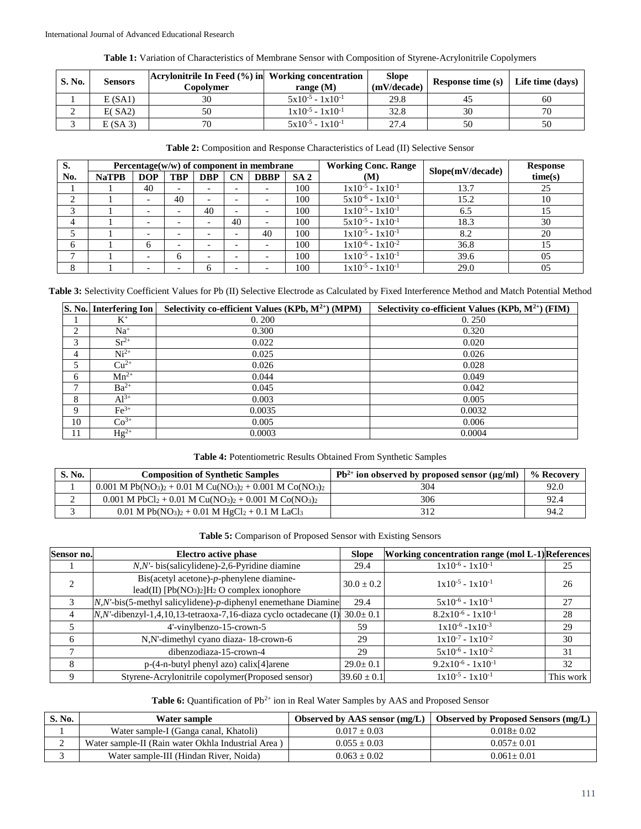|  | <b>Table 1:</b> Variation of Characteristics of Membrane Sensor with Composition of Styrene-Acrylonitrile Copolymers |  |  |  |  |  |
|--|----------------------------------------------------------------------------------------------------------------------|--|--|--|--|--|
|  |                                                                                                                      |  |  |  |  |  |

| S. No. | <b>Sensors</b> | Acrylonitrile In Feed (%) in Working concentration<br>Copolvmer | range $(M)$                           | <b>Slope</b><br>(mV/decade) | Response time $(s)$ Life time $(days)$ |    |
|--------|----------------|-----------------------------------------------------------------|---------------------------------------|-----------------------------|----------------------------------------|----|
|        | E(SA1)         | 30                                                              | $5x10^{-5} - 1x10^{-1}$               | 29.8                        | 45                                     | 60 |
| ∸      | E(SA2)         | 50                                                              | $1 \times 10^{-5} - 1 \times 10^{-1}$ | 32.8                        | 30                                     | 70 |
|        | E(SA3)         | 70                                                              | $5x10^{-5} - 1x10^{-1}$               | 27.4                        | 50                                     | 50 |

| S.  | Percentage $(w/w)$ of component in membrane |                          |                          |            |                          |                          |                 | <b>Working Conc. Range</b> |                  | <b>Response</b> |
|-----|---------------------------------------------|--------------------------|--------------------------|------------|--------------------------|--------------------------|-----------------|----------------------------|------------------|-----------------|
| No. | <b>NaTPB</b>                                | <b>DOP</b>               | <b>TBP</b>               | <b>DBP</b> | $\mathbf{C}$ N           | <b>DBBP</b>              | SA <sub>2</sub> | (M)                        | Slope(mV/decade) | time(s)         |
|     |                                             | 40                       | $\overline{\phantom{0}}$ |            | $\overline{\phantom{0}}$ |                          | 100             | $1x10^{-5} - 1x10^{-1}$    | 13.7             | 25              |
|     |                                             | $\overline{\phantom{0}}$ | 40                       |            | $\overline{\phantom{0}}$ | $\overline{\phantom{0}}$ | 100             | $5x10^{-6} - 1x10^{-1}$    | 15.2             | 10              |
|     |                                             |                          |                          | 40         | $\overline{\phantom{0}}$ |                          | 100             | $1x10^{-5} - 1x10^{-1}$    | 6.5              |                 |
| 4   |                                             |                          |                          |            | 40                       |                          | 100             | $5x10^{-5} - 1x10^{-1}$    | 18.3             | 30              |
|     |                                             | $\overline{\phantom{0}}$ | $\overline{\phantom{0}}$ |            | $\overline{\phantom{0}}$ | 40                       | 100             | $1x10^{-5} - 1x10^{-1}$    | 8.2              | 20              |
| 6   |                                             | h                        | $\overline{\phantom{0}}$ |            | $\overline{\phantom{0}}$ |                          | 100             | $1x10^{-6} - 1x10^{-2}$    | 36.8             |                 |
|     |                                             |                          | h                        |            | $\overline{\phantom{0}}$ |                          | 100             | $1x10^{-5} - 1x10^{-1}$    | 39.6             | 05              |
| 8   |                                             |                          |                          | h          |                          |                          | 100             | $1x10^{-5} - 1x10^{-1}$    | 29.0             | 05              |

**Table 3:** Selectivity Coefficient Values for Pb (II) Selective Electrode as Calculated by Fixed Interference Method and Match Potential Method

|    | S. No. Interfering Ion | Selectivity co-efficient Values (KPb, $M^{2+}$ ) (MPM) | Selectivity co-efficient Values (KPb, $M^{2+}$ ) (FIM) |
|----|------------------------|--------------------------------------------------------|--------------------------------------------------------|
|    | $K^+$                  | 0.200                                                  | 0.250                                                  |
| ↑  | $Na+$                  | 0.300                                                  | 0.320                                                  |
| 3  | $Sr^{2+}$              | 0.022                                                  | 0.020                                                  |
| 4  | $Ni2+$                 | 0.025                                                  | 0.026                                                  |
|    | $Cu2+$                 | 0.026                                                  | 0.028                                                  |
| 6  | $Mn^{2+}$              | 0.044                                                  | 0.049                                                  |
| ⇁  | $Ba^{2+}$              | 0.045                                                  | 0.042                                                  |
| 8  | $Al^{3+}$              | 0.003                                                  | 0.005                                                  |
| Q  | $Fe3+$                 | 0.0035                                                 | 0.0032                                                 |
| 10 | $Co^{3+}$              | 0.005                                                  | 0.006                                                  |
| 11 | $Hg^{2+}$              | 0.0003                                                 | 0.0004                                                 |

| S. No. | <b>Composition of Synthetic Samples</b>                                                                                            | $Pb^{2+}$ ion observed by proposed sensor ( $\mu$ g/ml) | % Recovery |
|--------|------------------------------------------------------------------------------------------------------------------------------------|---------------------------------------------------------|------------|
|        | $0.001$ M Pb(NO <sub>3</sub> ) <sub>2</sub> + 0.01 M Cu(NO <sub>3</sub> ) <sub>2</sub> + 0.001 M Co(NO <sub>3</sub> ) <sub>2</sub> | 304                                                     | 92.0       |
|        | $0.001$ M PbCl <sub>2</sub> + 0.01 M Cu(NO <sub>3</sub> ) <sub>2</sub> + 0.001 M Co(NO <sub>3</sub> ) <sub>2</sub>                 | 306                                                     | 92.4       |
|        | $0.01$ M Pb(NO <sub>3</sub> ) <sub>2</sub> + 0.01 M HgCl <sub>2</sub> + 0.1 M LaCl <sub>3</sub>                                    | 312                                                     | 94.2       |

**Table 5:** Comparison of Proposed Sensor with Existing Sensors

| Sensor no. | <b>Electro active phase</b>                                                               | <b>Slope</b>    | <b>Working concentration range (mol L-1)</b> References |           |
|------------|-------------------------------------------------------------------------------------------|-----------------|---------------------------------------------------------|-----------|
|            | $N, N'$ - bis(salicylidene)-2,6-Pyridine diamine                                          | 29.4            | $1x10^{-6} - 1x10^{-1}$                                 | 25        |
|            | $Bis(acetyl acetone)-p$ -phenylene diamine-<br>lead(II) $[Pb(NO3)2]H2O complex ionophore$ | $30.0 \pm 0.2$  | $1x10^{-5} - 1x10^{-1}$                                 | 26        |
|            | N,N'-bis(5-methyl salicylidene)-p-diphenyl enemethane Diamine                             | 29.4            | $5x10^{-6} - 1x10^{-1}$                                 | 27        |
|            | $N$ , N'-dibenzyl-1,4,10,13-tetraoxa-7,16-diaza cyclo octadecane (I)                      | $30.0 \pm 0.1$  | $8.2x10^{-6} - 1x10^{-1}$                               | 28        |
|            | 4'-vinylbenzo-15-crown-5                                                                  | 59              | $1x10^{-6} - 1x10^{-3}$                                 | 29        |
| 6          | N, N'-dimethyl cyano diaza-18-crown-6                                                     | 29              | $1x10^{-7} - 1x10^{-2}$                                 | 30        |
|            | dibenzodiaza-15-crown-4                                                                   | 29              | $5x10^{-6} - 1x10^{-2}$                                 | 31        |
| 8          | $p-(4-n-butyl)$ phenyl azo) calix $[4]$ arene                                             | $29.0 \pm 0.1$  | $9.2x10^{-6} - 1x10^{-1}$                               | 32        |
| Q          | Styrene-Acrylonitrile copolymer(Proposed sensor)                                          | $39.60 \pm 0.1$ | $1 \times 10^{-5}$ - $1 \times 10^{-1}$                 | This work |

Table 6: Quantification of Pb<sup>2+</sup> ion in Real Water Samples by AAS and Proposed Sensor

| S. No. | Water sample                                       | Observed by AAS sensor $(mg/L)$ | Observed by Proposed Sensors (mg/L) |
|--------|----------------------------------------------------|---------------------------------|-------------------------------------|
|        | Water sample-I (Ganga canal, Khatoli)              | $0.017 + 0.03$                  | $0.018 + 0.02$                      |
| ∼      | Water sample-II (Rain water Okhla Industrial Area) | $0.055 + 0.03$                  | $0.057 + 0.01$                      |
|        | Water sample-III (Hindan River, Noida)             | $0.063 + 0.02$                  | $0.061 + 0.01$                      |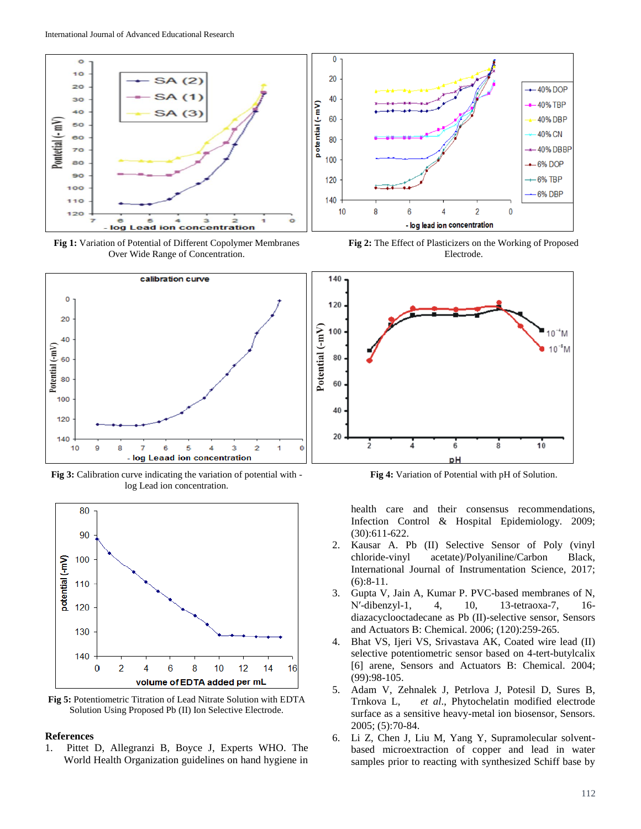

**Fig 1:** Variation of Potential of Different Copolymer Membranes Over Wide Range of Concentration.



**Fig 3:** Calibration curve indicating the variation of potential with log Lead ion concentration.



**Fig 5:** Potentiometric Titration of Lead Nitrate Solution with EDTA Solution Using Proposed Pb (II) Ion Selective Electrode.

## **References**

1. Pittet D, Allegranzi B, Boyce J, Experts WHO. The World Health Organization guidelines on hand hygiene in



**Fig 2:** The Effect of Plasticizers on the Working of Proposed Electrode.



**Fig 4:** Variation of Potential with pH of Solution.

health care and their consensus recommendations, Infection Control & Hospital Epidemiology. 2009; (30):611-622.

- 2. Kausar A. Pb (II) Selective Sensor of Poly (vinyl chloride-vinyl acetate)/Polyaniline/Carbon Black, International Journal of Instrumentation Science, 2017; (6):8-11.
- 3. Gupta V, Jain A, Kumar P. PVC-based membranes of N, N′-dibenzyl-1, 4, 10, 13-tetraoxa-7, 16 diazacyclooctadecane as Pb (II)-selective sensor, Sensors and Actuators B: Chemical. 2006; (120):259-265.
- 4. Bhat VS, Ijeri VS, Srivastava AK, Coated wire lead (II) selective potentiometric sensor based on 4-tert-butylcalix [6] arene, Sensors and Actuators B: Chemical. 2004; (99):98-105.
- 5. Adam V, Zehnalek J, Petrlova J, Potesil D, Sures B, Trnkova L, *et al*., Phytochelatin modified electrode surface as a sensitive heavy-metal ion biosensor, Sensors. 2005; (5):70-84.
- 6. Li Z, Chen J, Liu M, Yang Y, Supramolecular solventbased microextraction of copper and lead in water samples prior to reacting with synthesized Schiff base by